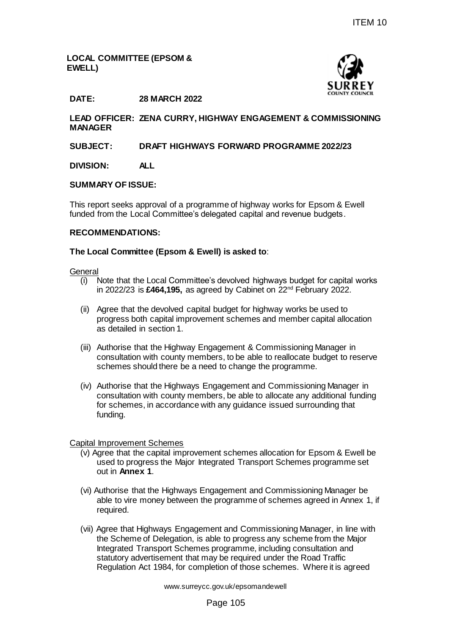# **LOCAL COMMITTEE (EPSOM & EWELL)**



# **DATE: 28 MARCH 2022**

**LEAD OFFICER: ZENA CURRY, HIGHWAY ENGAGEMENT & COMMISSIONING MANAGER**

# **SUBJECT: DRAFT HIGHWAYS FORWARD PROGRAMME 2022/23**

**DIVISION: ALL**

#### **SUMMARY OF ISSUE:**

This report seeks approval of a programme of highway works for Epsom & Ewell funded from the Local Committee's delegated capital and revenue budgets.

#### **RECOMMENDATIONS:**

#### **The Local Committee (Epsom & Ewell) is asked to**:

#### **General**

- (i) Note that the Local Committee's devolved highways budget for capital works in 2022/23 is **£464,195,** as agreed by Cabinet on 22nd February 2022.
- (ii) Agree that the devolved capital budget for highway works be used to progress both capital improvement schemes and member capital allocation as detailed in section 1.
- (iii) Authorise that the Highway Engagement & Commissioning Manager in consultation with county members, to be able to reallocate budget to reserve schemes should there be a need to change the programme.
- (iv) Authorise that the Highways Engagement and Commissioning Manager in consultation with county members, be able to allocate any additional funding for schemes, in accordance with any guidance issued surrounding that funding.

# Capital Improvement Schemes

- (v) Agree that the capital improvement schemes allocation for Epsom & Ewell be used to progress the Major Integrated Transport Schemes programme set out in **Annex 1**.
- (vi) Authorise that the Highways Engagement and Commissioning Manager be able to vire money between the programme of schemes agreed in Annex 1, if required.
- (vii) Agree that Highways Engagement and Commissioning Manager, in line with the Scheme of Delegation, is able to progress any scheme from the Major Integrated Transport Schemes programme, including consultation and statutory advertisement that may be required under the Road Traffic Regulation Act 1984, for completion of those schemes. Where it is agreed ITEM 10<br>
SURREY<br>
SURREY<br>
SURREY<br>
SURREY<br>
GURREY<br>
SURREY<br>
SURREY<br>
SURREY<br>
SURREY<br>
SURREY<br>
SURREY<br>
SURREY<br>
SURREY<br>
And the start of the start of the start of the start of the start of the start of the start of the start of t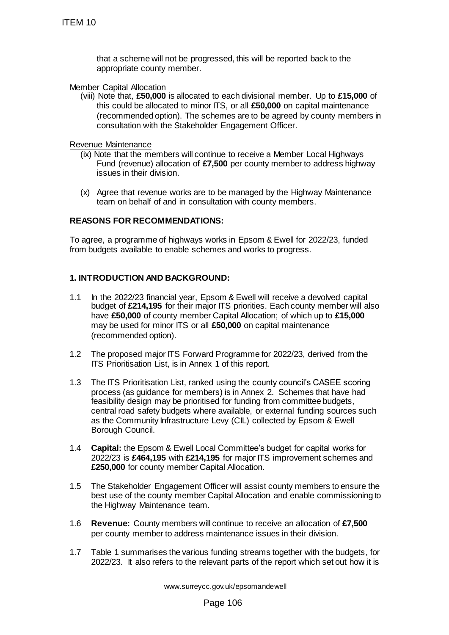that a scheme will not be progressed, this will be reported back to the appropriate county member.

Member Capital Allocation

(viii) Note that, **£50,000** is allocated to each divisional member. Up to **£15,000** of this could be allocated to minor ITS, or all **£50,000** on capital maintenance (recommended option). The schemes are to be agreed by county members in consultation with the Stakeholder Engagement Officer.

Revenue Maintenance

- (ix) Note that the members will continue to receive a Member Local Highways Fund (revenue) allocation of **£7,500** per county member to address highway issues in their division.
- (x) Agree that revenue works are to be managed by the Highway Maintenance team on behalf of and in consultation with county members.

# **REASONS FOR RECOMMENDATIONS:**

To agree, a programme of highways works in Epsom & Ewell for 2022/23, funded from budgets available to enable schemes and works to progress.

# **1. INTRODUCTION AND BACKGROUND:**

- 1.1 In the 2022/23 financial year, Epsom & Ewell will receive a devolved capital budget of **£214,195** for their major ITS priorities. Each county member will also have **£50,000** of county member Capital Allocation; of which up to **£15,000** may be used for minor ITS or all **£50,000** on capital maintenance (recommended option).
- 1.2 The proposed major ITS Forward Programme for 2022/23, derived from the ITS Prioritisation List, is in Annex 1 of this report.
- 1.3 The ITS Prioritisation List, ranked using the county council's CASEE scoring process (as guidance for members) is in Annex 2. Schemes that have had feasibility design may be prioritised for funding from committee budgets, central road safety budgets where available, or external funding sources such as the Community Infrastructure Levy (CIL) collected by Epsom & Ewell Borough Council. ITEM 10<br>
that a scheme will not be progressed, the<br>
appropriate county member.<br>
Member Capital Allocation<br>
(will Note that, **£50,000** is allocated to each<br>
this could be allocated to minor ITS, or<br>
(recommended option). T
	- 1.4 **Capital:** the Epsom & Ewell Local Committee's budget for capital works for 2022/23 is **£464,195** with **£214,195** for major ITS improvement schemes and **£250,000** for county member Capital Allocation.
	- 1.5 The Stakeholder Engagement Officer will assist county members to ensure the best use of the county member Capital Allocation and enable commissioning to the Highway Maintenance team.
	- 1.6 **Revenue:** County members will continue to receive an allocation of **£7,500** per county member to address maintenance issues in their division.
	- 1.7 Table 1 summarises the various funding streams together with the budgets, for 2022/23. It also refers to the relevant parts of the report which set out how it is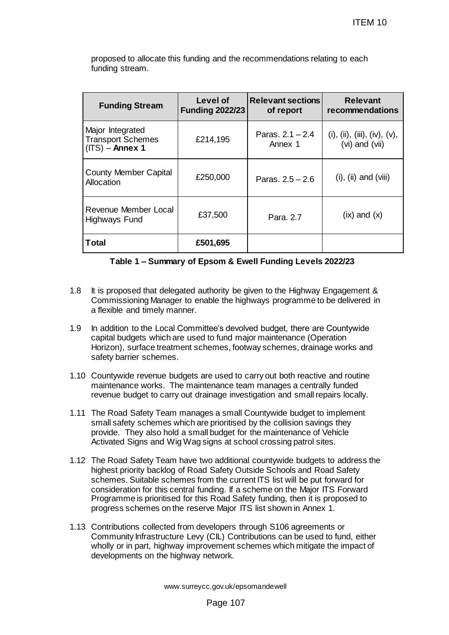|                                                                                               |                                                                                                                                                                                                                                                                                                                                                                                                                                                                             |                                    |                                       | <b>ITEM 10</b>                                    |  |
|-----------------------------------------------------------------------------------------------|-----------------------------------------------------------------------------------------------------------------------------------------------------------------------------------------------------------------------------------------------------------------------------------------------------------------------------------------------------------------------------------------------------------------------------------------------------------------------------|------------------------------------|---------------------------------------|---------------------------------------------------|--|
| proposed to allocate this funding and the recommendations relating to each<br>funding stream. |                                                                                                                                                                                                                                                                                                                                                                                                                                                                             |                                    |                                       |                                                   |  |
|                                                                                               | <b>Funding Stream</b>                                                                                                                                                                                                                                                                                                                                                                                                                                                       | Level of<br><b>Funding 2022/23</b> | <b>Relevant sections</b><br>of report | <b>Relevant</b><br>recommendations                |  |
|                                                                                               | Major Integrated<br><b>Transport Schemes</b><br>$(ITS)$ – Annex 1                                                                                                                                                                                                                                                                                                                                                                                                           | £214,195                           | Paras, $2.1 - 2.4$<br>Annex 1         | (i), (ii), (iii), (iv), $(v)$ ,<br>(vi) and (vii) |  |
| <b>County Member Capital</b><br>Allocation                                                    |                                                                                                                                                                                                                                                                                                                                                                                                                                                                             | £250,000                           | Paras. $2.5 - 2.6$                    | $(i)$ , $(ii)$ and $(viii)$                       |  |
| Revenue Member Local<br>Highways Fund                                                         |                                                                                                                                                                                                                                                                                                                                                                                                                                                                             | £37,500                            | Para, 2.7                             | $(ix)$ and $(x)$                                  |  |
|                                                                                               | <b>Total</b>                                                                                                                                                                                                                                                                                                                                                                                                                                                                | £501,695                           |                                       |                                                   |  |
|                                                                                               | Table 1 - Summary of Epsom & Ewell Funding Levels 2022/23                                                                                                                                                                                                                                                                                                                                                                                                                   |                                    |                                       |                                                   |  |
|                                                                                               | It is proposed that delegated authority be given to the Highway Engagement &<br>Commissioning Manager to enable the highways programme to be delivered in<br>a flexible and timely manner.<br>In addition to the Local Committee's devolved budget, there are Countywide<br>capital budgets which are used to fund major maintenance (Operation<br>Horizon), surface treatment schemes, footway schemes, drainage works and<br>safety barrier schemes.                      |                                    |                                       |                                                   |  |
|                                                                                               | 0 Countywide revenue budgets are used to carry out both reactive and routine<br>maintenance works. The maintenance team manages a centrally funded<br>revenue budget to carry out drainage investigation and small repairs locally.                                                                                                                                                                                                                                         |                                    |                                       |                                                   |  |
|                                                                                               | 1 The Road Safety Team manages a small Countywide budget to implement<br>small safety schemes which are prioritised by the collision savings they<br>provide. They also hold a small budget for the maintenance of Vehicle<br>Activated Signs and Wig Wag signs at school crossing patrol sites.                                                                                                                                                                            |                                    |                                       |                                                   |  |
|                                                                                               | 2 The Road Safety Team have two additional countywide budgets to address the<br>highest priority backlog of Road Safety Outside Schools and Road Safety<br>schemes. Suitable schemes from the current ITS list will be put forward for<br>consideration for this central funding. If a scheme on the Major ITS Forward<br>Programme is prioritised for this Road Safety funding, then it is proposed to<br>progress schemes on the reserve Major ITS list shown in Annex 1. |                                    |                                       |                                                   |  |
|                                                                                               | 3 Contributions collected from developers through S106 agreements or<br>Community Infrastructure Levy (CIL) Contributions can be used to fund, either<br>wholly or in part, highway improvement schemes which mitigate the impact of<br>developments on the highway network.                                                                                                                                                                                                |                                    |                                       |                                                   |  |
| www.surreycc.gov.uk/epsomandewell                                                             |                                                                                                                                                                                                                                                                                                                                                                                                                                                                             |                                    |                                       |                                                   |  |
| Page 107                                                                                      |                                                                                                                                                                                                                                                                                                                                                                                                                                                                             |                                    |                                       |                                                   |  |

#### **Table 1 – Summary of Epsom & Ewell Funding Levels 2022/23**

- 1.8 It is proposed that delegated authority be given to the Highway Engagement & Commissioning Manager to enable the highways programme to be delivered in a flexible and timely manner.
- 1.9 In addition to the Local Committee's devolved budget, there are Countywide capital budgets which are used to fund major maintenance (Operation Horizon), surface treatment schemes, footway schemes, drainage works and safety barrier schemes.
- 1.10 Countywide revenue budgets are used to carry out both reactive and routine maintenance works. The maintenance team manages a centrally funded revenue budget to carry out drainage investigation and small repairs locally.
- 1.11 The Road Safety Team manages a small Countywide budget to implement small safety schemes which are prioritised by the collision savings they provide. They also hold a small budget for the maintenance of Vehicle Activated Signs and Wig Wag signs at school crossing patrol sites.
- 1.12 The Road Safety Team have two additional countywide budgets to address the highest priority backlog of Road Safety Outside Schools and Road Safety schemes. Suitable schemes from the current ITS list will be put forward for consideration for this central funding. If a scheme on the Major ITS Forward Programme is prioritised for this Road Safety funding, then it is proposed to progress schemes on the reserve Major ITS list shown in Annex 1.
- 1.13 Contributions collected from developers through S106 agreements or Community Infrastructure Levy (CIL) Contributions can be used to fund, either wholly or in part, highway improvement schemes which mitigate the impact of developments on the highway network.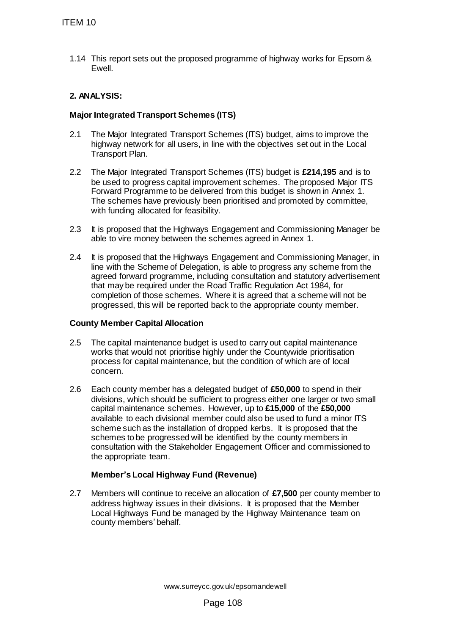1.14 This report sets out the proposed programme of highway works for Epsom & Ewell.

# **2. ANALYSIS:**

# **Major Integrated Transport Schemes (ITS)**

- 2.1 The Major Integrated Transport Schemes (ITS) budget, aims to improve the highway network for all users, in line with the objectives set out in the Local Transport Plan.
- 2.2 The Major Integrated Transport Schemes (ITS) budget is **£214,195** and is to be used to progress capital improvement schemes. The proposed Major ITS Forward Programme to be delivered from this budget is shown in Annex 1. The schemes have previously been prioritised and promoted by committee, with funding allocated for feasibility.
- 2.3 It is proposed that the Highways Engagement and Commissioning Manager be able to vire money between the schemes agreed in Annex 1.
- 2.4 It is proposed that the Highways Engagement and Commissioning Manager, in line with the Scheme of Delegation, is able to progress any scheme from the agreed forward programme, including consultation and statutory advertisement that may be required under the Road Traffic Regulation Act 1984, for completion of those schemes. Where it is agreed that a scheme will not be progressed, this will be reported back to the appropriate county member.

# **County Member Capital Allocation**

- 2.5 The capital maintenance budget is used to carry out capital maintenance works that would not prioritise highly under the Countywide prioritisation process for capital maintenance, but the condition of which are of local concern.
- 2.6 Each county member has a delegated budget of **£50,000** to spend in their divisions, which should be sufficient to progress either one larger or two small capital maintenance schemes. However, up to **£15,000** of the **£50,000** available to each divisional member could also be used to fund a minor ITS scheme such as the installation of dropped kerbs. It is proposed that the schemes to be progressed will be identified by the county members in consultation with the Stakeholder Engagement Officer and commissioned to the appropriate team. TTEM 10<br>
1.14 This report sets out the proposed program<br>
2. ANALYSIS:<br>
2.1 The Major Integrated Transport Schemes (ITS)<br>
2.1 The Major Integrated Transport Schemes (ITS)<br>
2.1 The Major Integrated Transport Schemes<br>
Transpo

# **Member's Local Highway Fund (Revenue)**

2.7 Members will continue to receive an allocation of **£7,500** per county member to address highway issues in their divisions. It is proposed that the Member Local Highways Fund be managed by the Highway Maintenance team on county members' behalf.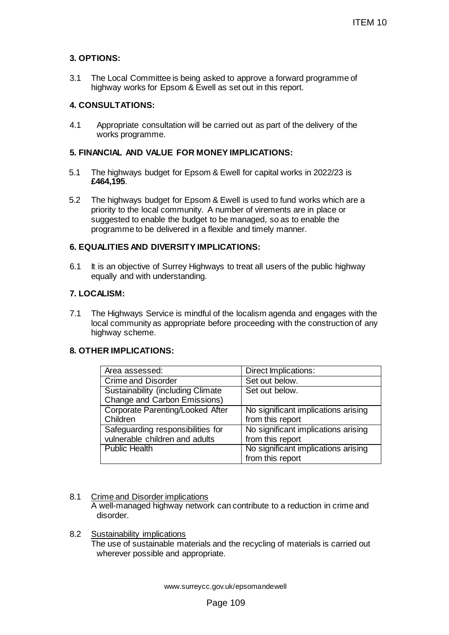# **3. OPTIONS:**

3.1 The Local Committee is being asked to approve a forward programme of highway works for Epsom & Ewell as set out in this report.

# **4. CONSULTATIONS:**

4.1 Appropriate consultation will be carried out as part of the delivery of the works programme.

# **5. FINANCIAL AND VALUE FOR MONEY IMPLICATIONS:**

- 5.1 The highways budget for Epsom & Ewell for capital works in 2022/23 is **£464,195**.
- 5.2 The highways budget for Epsom & Ewell is used to fund works which are a priority to the local community. A number of virements are in place or suggested to enable the budget to be managed, so as to enable the programme to be delivered in a flexible and timely manner.

# **6. EQUALITIES AND DIVERSITY IMPLICATIONS:**

6.1 It is an objective of Surrey Highways to treat all users of the public highway equally and with understanding.

### **7. LOCALISM:**

7.1 The Highways Service is mindful of the localism agenda and engages with the local community as appropriate before proceeding with the construction of any highway scheme.

#### **8. OTHER IMPLICATIONS:**

|                                                                                                                                                                                                                                                                                   | ITEM 10                                                 |  |  |  |
|-----------------------------------------------------------------------------------------------------------------------------------------------------------------------------------------------------------------------------------------------------------------------------------|---------------------------------------------------------|--|--|--|
| ONS:                                                                                                                                                                                                                                                                              |                                                         |  |  |  |
| e Local Committee is being asked to approve a forward programme of<br>ghway works for Epsom & Ewell as set out in this report.                                                                                                                                                    |                                                         |  |  |  |
| <b>SULTATIONS:</b>                                                                                                                                                                                                                                                                |                                                         |  |  |  |
| Appropriate consultation will be carried out as part of the delivery of the<br>vorks programme.                                                                                                                                                                                   |                                                         |  |  |  |
| <b>NCIAL AND VALUE FOR MONEY IMPLICATIONS:</b>                                                                                                                                                                                                                                    |                                                         |  |  |  |
| e highways budget for Epsom & Ewell for capital works in 2022/23 is<br>64,195.                                                                                                                                                                                                    |                                                         |  |  |  |
| e highways budget for Epsom & Ewell is used to fund works which are a<br>iority to the local community. A number of virements are in place or<br>ggested to enable the budget to be managed, so as to enable the<br>ogramme to be delivered in a flexible and timely manner.      |                                                         |  |  |  |
| <b>ALITIES AND DIVERSITY IMPLICATIONS:</b>                                                                                                                                                                                                                                        |                                                         |  |  |  |
| s an objective of Surrey Highways to treat all users of the public highway<br>ually and with understanding.                                                                                                                                                                       |                                                         |  |  |  |
| <b>\LISM:</b>                                                                                                                                                                                                                                                                     |                                                         |  |  |  |
| e Highways Service is mindful of the localism agenda and engages with the<br>cal community as appropriate before proceeding with the construction of any<br>ghway scheme.<br><b>ER IMPLICATIONS:</b>                                                                              |                                                         |  |  |  |
| Area assessed:                                                                                                                                                                                                                                                                    | Direct Implications:                                    |  |  |  |
| <b>Crime and Disorder</b>                                                                                                                                                                                                                                                         | Set out below.                                          |  |  |  |
| <b>Sustainability (including Climate)</b><br>Change and Carbon Emissions)                                                                                                                                                                                                         | Set out below.                                          |  |  |  |
| Corporate Parenting/Looked After<br>Children                                                                                                                                                                                                                                      | No significant implications arising<br>from this report |  |  |  |
| Safeguarding responsibilities for<br>vulnerable children and adults                                                                                                                                                                                                               | No significant implications arising<br>from this report |  |  |  |
| <b>Public Health</b>                                                                                                                                                                                                                                                              | No significant implications arising<br>from this report |  |  |  |
| ime and Disorder implications<br>well-managed highway network can contribute to a reduction in crime and<br>disorder.<br><u>ustainability implications</u><br>ne use of sustainable materials and the recycling of materials is carried out<br>wherever possible and appropriate. |                                                         |  |  |  |
| www.surreycc.gov.uk/epsomandewell                                                                                                                                                                                                                                                 |                                                         |  |  |  |
| Page 109                                                                                                                                                                                                                                                                          |                                                         |  |  |  |

#### 8.1 Crime and Disorder implications

#### 8.2 Sustainability implications